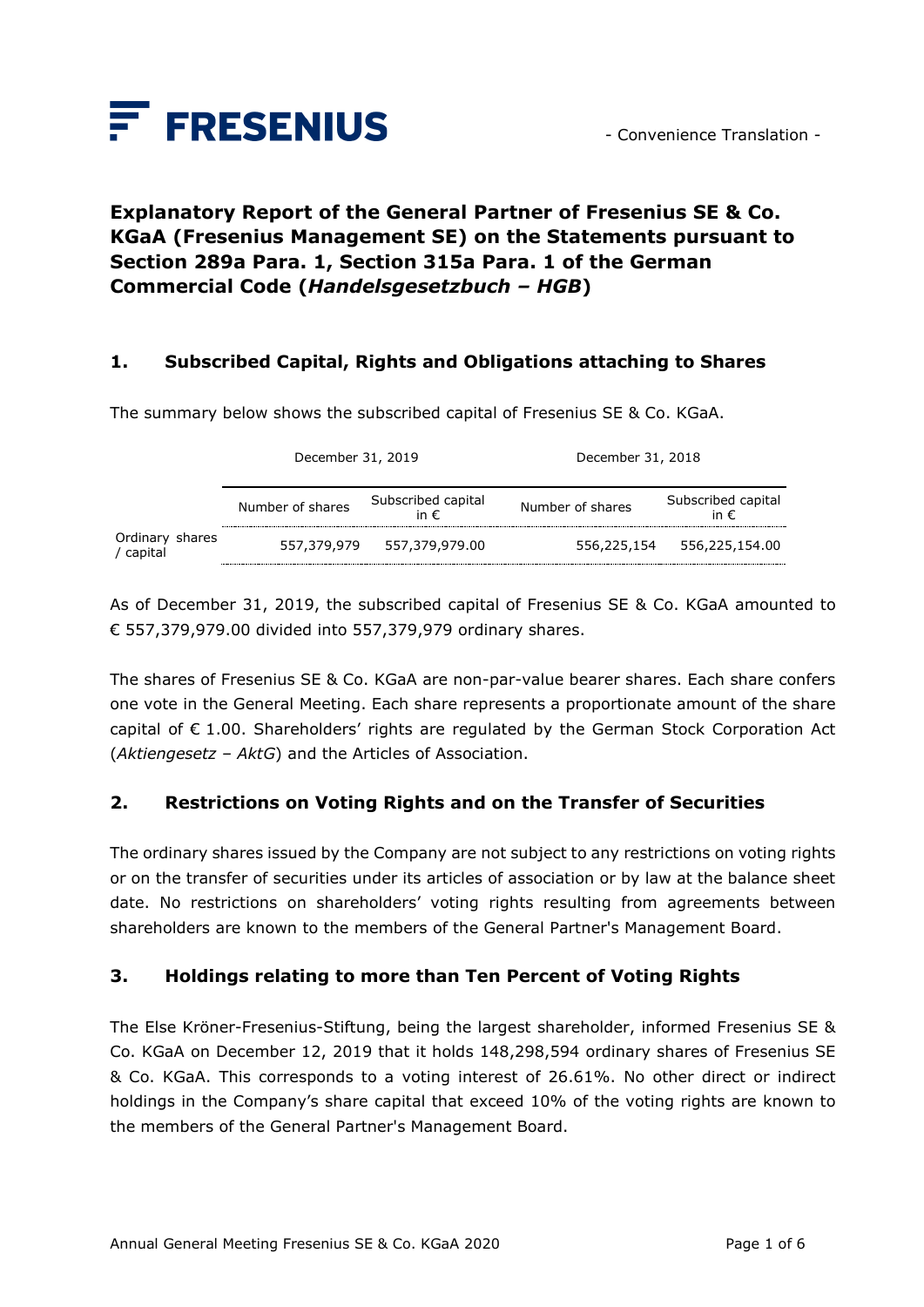

# **Explanatory Report of the General Partner of Fresenius SE & Co. KGaA (Fresenius Management SE) on the Statements pursuant to Section 289a Para. 1, Section 315a Para. 1 of the German Commercial Code (***Handelsgesetzbuch – HGB***)**

#### **1. Subscribed Capital, Rights and Obligations attaching to Shares**

The summary below shows the subscribed capital of Fresenius SE & Co. KGaA.

|                            | December 31, 2019 |                                     | December 31, 2018 |                                     |
|----------------------------|-------------------|-------------------------------------|-------------------|-------------------------------------|
|                            | Number of shares  | Subscribed capital<br>in $\epsilon$ | Number of shares  | Subscribed capital<br>in $\epsilon$ |
| Ordinary shares<br>capital | 557,379,979       | 557,379,979.00                      | 556,225,154       | 556,225,154.00                      |

As of December 31, 2019, the subscribed capital of Fresenius SE & Co. KGaA amounted to € 557,379,979.00 divided into 557,379,979 ordinary shares.

The shares of Fresenius SE & Co. KGaA are non-par-value bearer shares. Each share confers one vote in the General Meeting. Each share represents a proportionate amount of the share capital of  $\epsilon$  1.00. Shareholders' rights are regulated by the German Stock Corporation Act (*Aktiengesetz – AktG*) and the Articles of Association.

#### **2. Restrictions on Voting Rights and on the Transfer of Securities**

The ordinary shares issued by the Company are not subject to any restrictions on voting rights or on the transfer of securities under its articles of association or by law at the balance sheet date. No restrictions on shareholders' voting rights resulting from agreements between shareholders are known to the members of the General Partner's Management Board.

#### **3. Holdings relating to more than Ten Percent of Voting Rights**

The Else Kröner-Fresenius-Stiftung, being the largest shareholder, informed Fresenius SE & Co. KGaA on December 12, 2019 that it holds 148,298,594 ordinary shares of Fresenius SE & Co. KGaA. This corresponds to a voting interest of 26.61%. No other direct or indirect holdings in the Company's share capital that exceed 10% of the voting rights are known to the members of the General Partner's Management Board.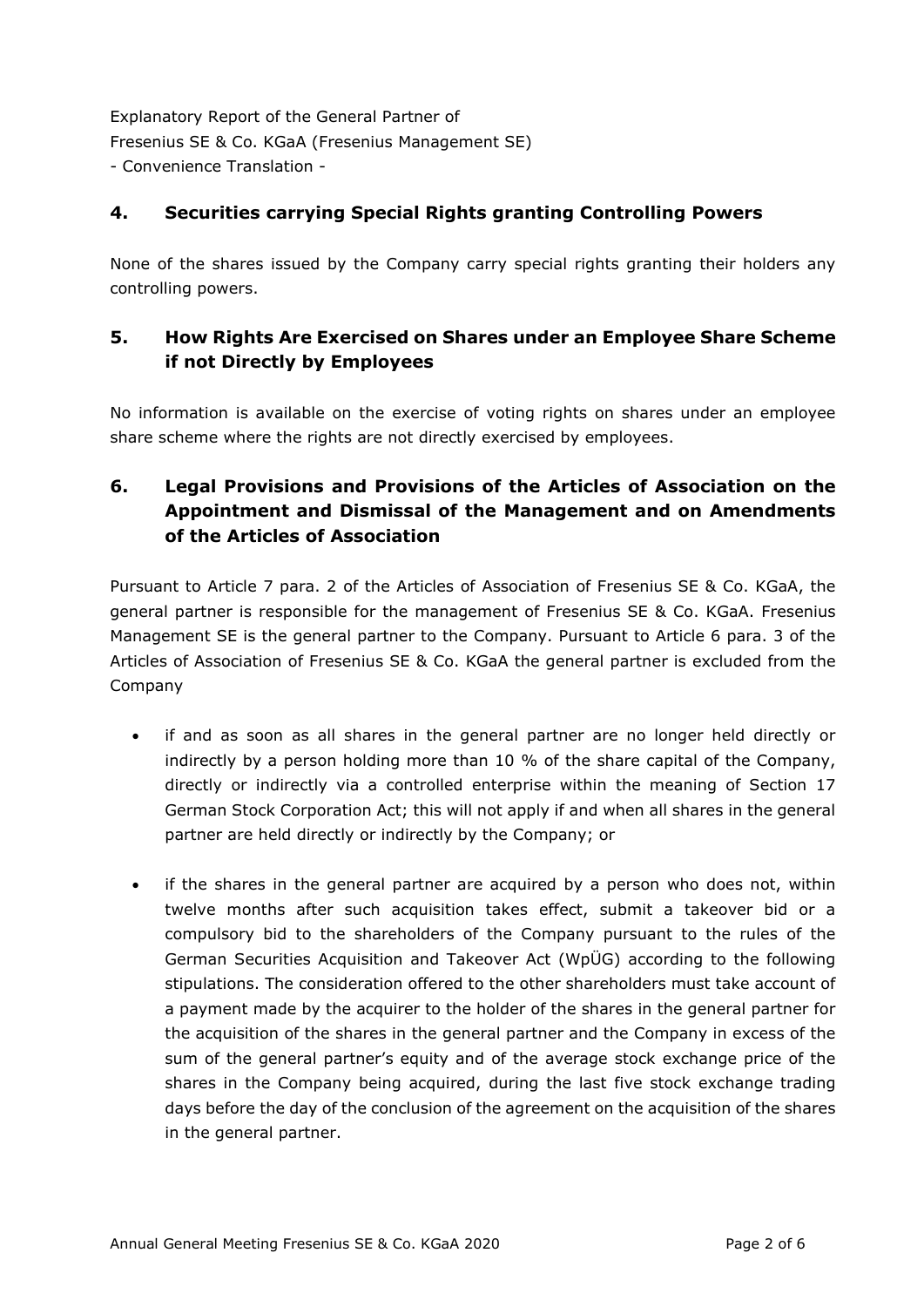### **4. Securities carrying Special Rights granting Controlling Powers**

None of the shares issued by the Company carry special rights granting their holders any controlling powers.

## **5. How Rights Are Exercised on Shares under an Employee Share Scheme if not Directly by Employees**

No information is available on the exercise of voting rights on shares under an employee share scheme where the rights are not directly exercised by employees.

## **6. Legal Provisions and Provisions of the Articles of Association on the Appointment and Dismissal of the Management and on Amendments of the Articles of Association**

Pursuant to Article 7 para. 2 of the Articles of Association of Fresenius SE & Co. KGaA, the general partner is responsible for the management of Fresenius SE & Co. KGaA. Fresenius Management SE is the general partner to the Company. Pursuant to Article 6 para. 3 of the Articles of Association of Fresenius SE & Co. KGaA the general partner is excluded from the Company

- if and as soon as all shares in the general partner are no longer held directly or indirectly by a person holding more than 10 % of the share capital of the Company, directly or indirectly via a controlled enterprise within the meaning of Section 17 German Stock Corporation Act; this will not apply if and when all shares in the general partner are held directly or indirectly by the Company; or
- if the shares in the general partner are acquired by a person who does not, within twelve months after such acquisition takes effect, submit a takeover bid or a compulsory bid to the shareholders of the Company pursuant to the rules of the German Securities Acquisition and Takeover Act (WpÜG) according to the following stipulations. The consideration offered to the other shareholders must take account of a payment made by the acquirer to the holder of the shares in the general partner for the acquisition of the shares in the general partner and the Company in excess of the sum of the general partner's equity and of the average stock exchange price of the shares in the Company being acquired, during the last five stock exchange trading days before the day of the conclusion of the agreement on the acquisition of the shares in the general partner.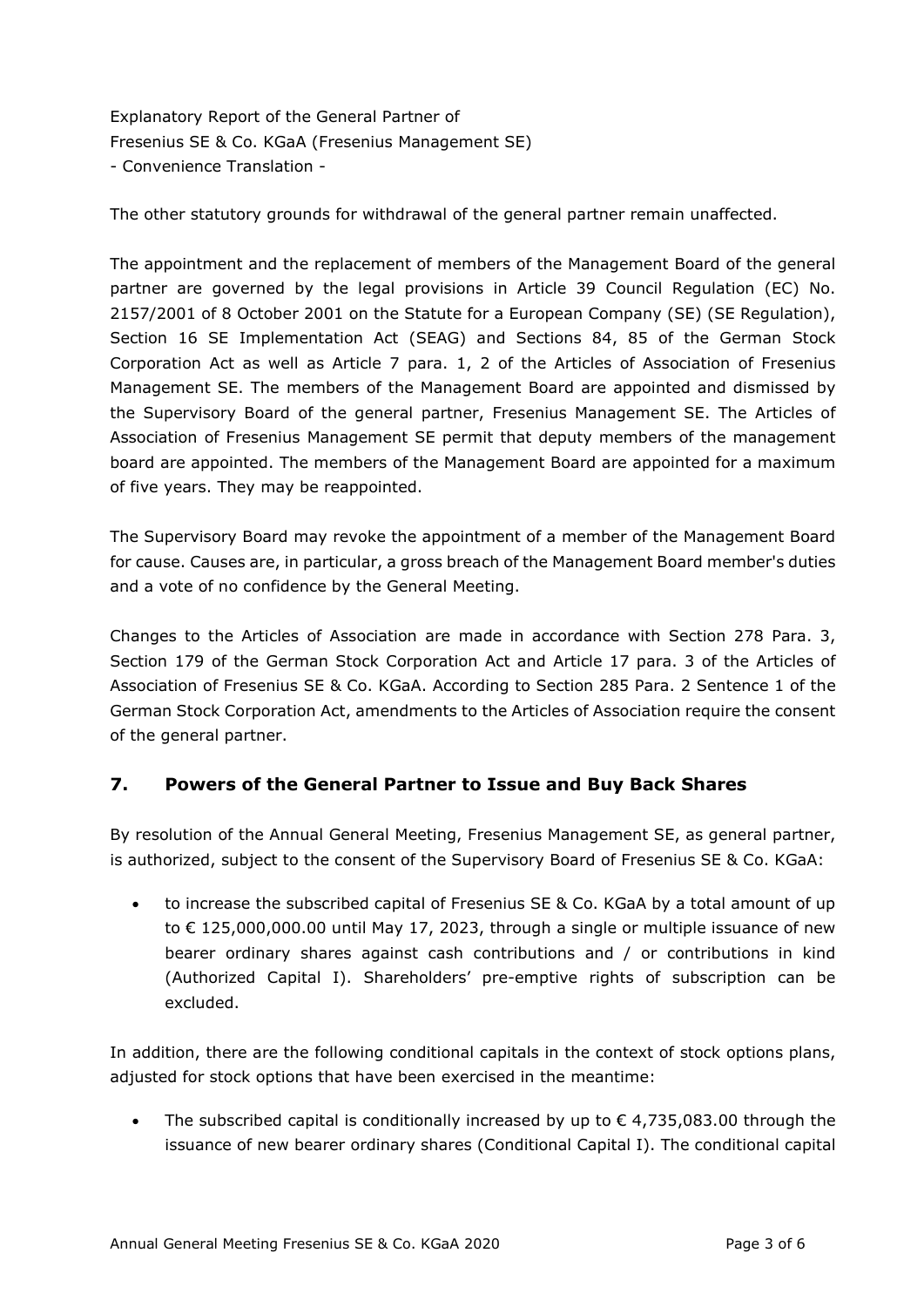The other statutory grounds for withdrawal of the general partner remain unaffected.

The appointment and the replacement of members of the Management Board of the general partner are governed by the legal provisions in Article 39 Council Regulation (EC) No. 2157/2001 of 8 October 2001 on the Statute for a European Company (SE) (SE Regulation), Section 16 SE Implementation Act (SEAG) and Sections 84, 85 of the German Stock Corporation Act as well as Article 7 para. 1, 2 of the Articles of Association of Fresenius Management SE. The members of the Management Board are appointed and dismissed by the Supervisory Board of the general partner, Fresenius Management SE. The Articles of Association of Fresenius Management SE permit that deputy members of the management board are appointed. The members of the Management Board are appointed for a maximum of five years. They may be reappointed.

The Supervisory Board may revoke the appointment of a member of the Management Board for cause. Causes are, in particular, a gross breach of the Management Board member's duties and a vote of no confidence by the General Meeting.

Changes to the Articles of Association are made in accordance with Section 278 Para. 3, Section 179 of the German Stock Corporation Act and Article 17 para. 3 of the Articles of Association of Fresenius SE & Co. KGaA. According to Section 285 Para. 2 Sentence 1 of the German Stock Corporation Act, amendments to the Articles of Association require the consent of the general partner.

### **7. Powers of the General Partner to Issue and Buy Back Shares**

By resolution of the Annual General Meeting, Fresenius Management SE, as general partner, is authorized, subject to the consent of the Supervisory Board of Fresenius SE & Co. KGaA:

• to increase the subscribed capital of Fresenius SE & Co. KGaA by a total amount of up to € 125,000,000.00 until May 17, 2023, through a single or multiple issuance of new bearer ordinary shares against cash contributions and / or contributions in kind (Authorized Capital I). Shareholders' pre-emptive rights of subscription can be excluded.

In addition, there are the following conditional capitals in the context of stock options plans, adjusted for stock options that have been exercised in the meantime:

The subscribed capital is conditionally increased by up to  $\epsilon$  4,735,083.00 through the issuance of new bearer ordinary shares (Conditional Capital I). The conditional capital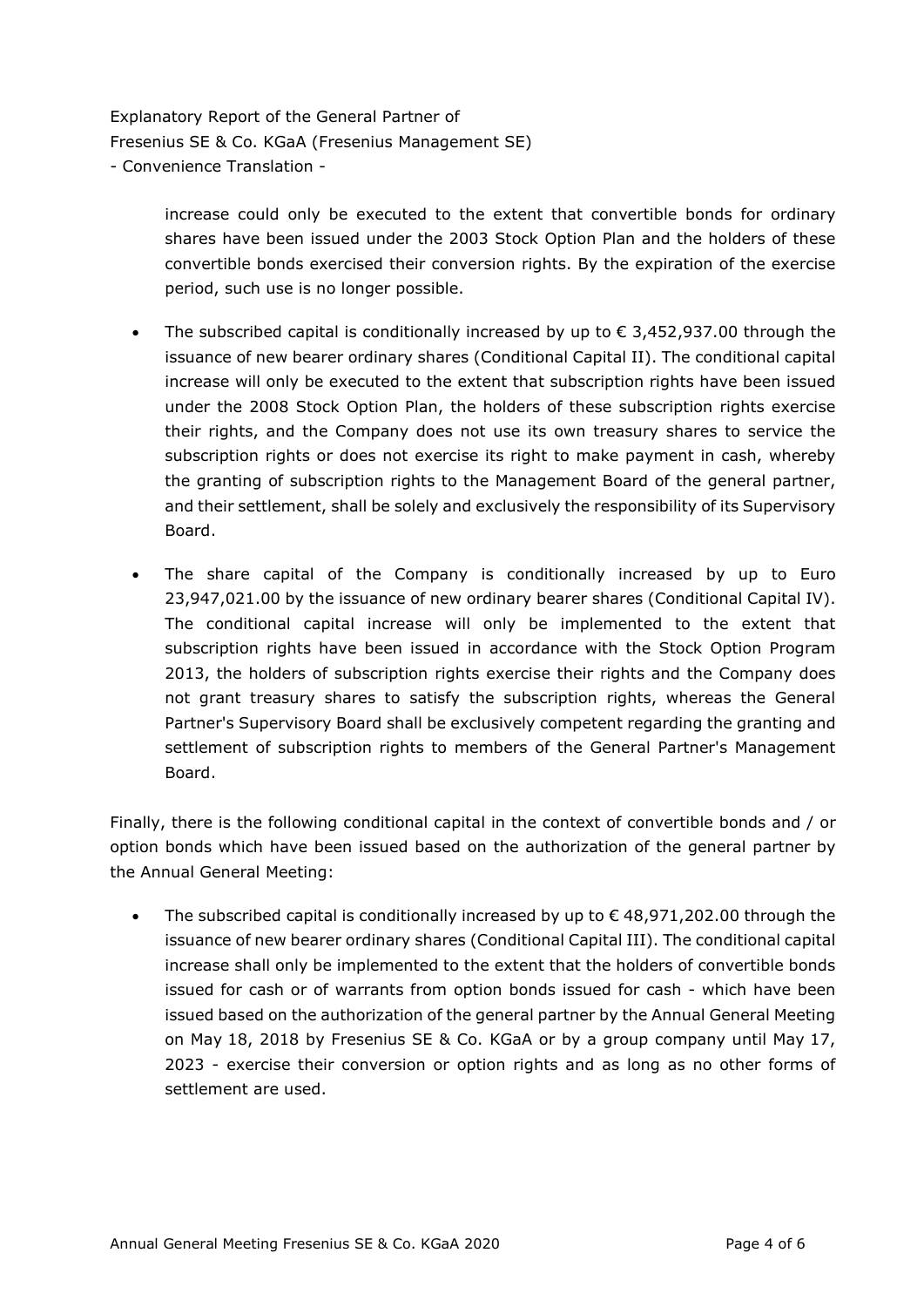> increase could only be executed to the extent that convertible bonds for ordinary shares have been issued under the 2003 Stock Option Plan and the holders of these convertible bonds exercised their conversion rights. By the expiration of the exercise period, such use is no longer possible.

- The subscribed capital is conditionally increased by up to  $\epsilon$  3,452,937.00 through the issuance of new bearer ordinary shares (Conditional Capital II). The conditional capital increase will only be executed to the extent that subscription rights have been issued under the 2008 Stock Option Plan, the holders of these subscription rights exercise their rights, and the Company does not use its own treasury shares to service the subscription rights or does not exercise its right to make payment in cash, whereby the granting of subscription rights to the Management Board of the general partner, and their settlement, shall be solely and exclusively the responsibility of its Supervisory Board.
- The share capital of the Company is conditionally increased by up to Euro 23,947,021.00 by the issuance of new ordinary bearer shares (Conditional Capital IV). The conditional capital increase will only be implemented to the extent that subscription rights have been issued in accordance with the Stock Option Program 2013, the holders of subscription rights exercise their rights and the Company does not grant treasury shares to satisfy the subscription rights, whereas the General Partner's Supervisory Board shall be exclusively competent regarding the granting and settlement of subscription rights to members of the General Partner's Management Board.

Finally, there is the following conditional capital in the context of convertible bonds and / or option bonds which have been issued based on the authorization of the general partner by the Annual General Meeting:

The subscribed capital is conditionally increased by up to  $\epsilon$  48,971,202.00 through the issuance of new bearer ordinary shares (Conditional Capital III). The conditional capital increase shall only be implemented to the extent that the holders of convertible bonds issued for cash or of warrants from option bonds issued for cash - which have been issued based on the authorization of the general partner by the Annual General Meeting on May 18, 2018 by Fresenius SE & Co. KGaA or by a group company until May 17, 2023 - exercise their conversion or option rights and as long as no other forms of settlement are used.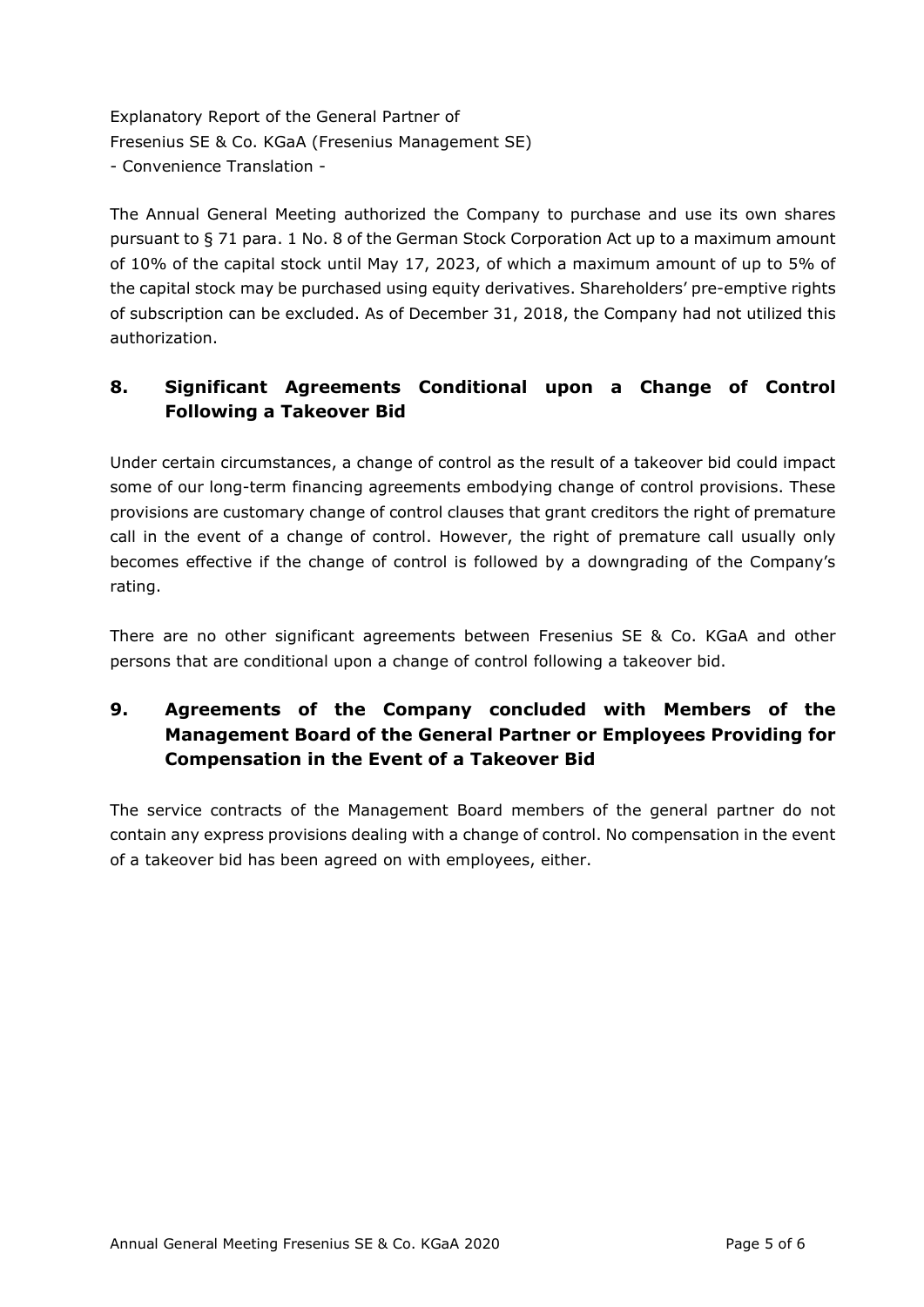The Annual General Meeting authorized the Company to purchase and use its own shares pursuant to § 71 para. 1 No. 8 of the German Stock Corporation Act up to a maximum amount of 10% of the capital stock until May 17, 2023, of which a maximum amount of up to 5% of the capital stock may be purchased using equity derivatives. Shareholders' pre-emptive rights of subscription can be excluded. As of December 31, 2018, the Company had not utilized this authorization.

## **8. Significant Agreements Conditional upon a Change of Control Following a Takeover Bid**

Under certain circumstances, a change of control as the result of a takeover bid could impact some of our long-term financing agreements embodying change of control provisions. These provisions are customary change of control clauses that grant creditors the right of premature call in the event of a change of control. However, the right of premature call usually only becomes effective if the change of control is followed by a downgrading of the Company's rating.

There are no other significant agreements between Fresenius SE & Co. KGaA and other persons that are conditional upon a change of control following a takeover bid.

# **9. Agreements of the Company concluded with Members of the Management Board of the General Partner or Employees Providing for Compensation in the Event of a Takeover Bid**

The service contracts of the Management Board members of the general partner do not contain any express provisions dealing with a change of control. No compensation in the event of a takeover bid has been agreed on with employees, either.